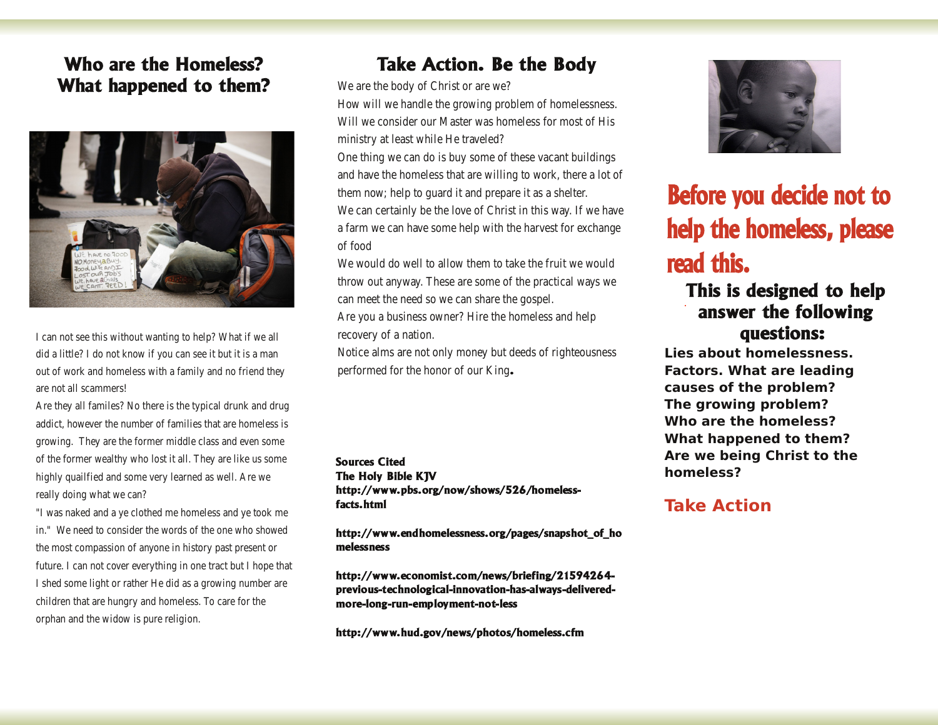# Who are the Homeless? What happened to them?



I can not see this without wanting to help? What if we all did a little? I do not know if you can see it but it is a man out of work and homeless with a family and no friend they are not all scammers!

Are they all familes? No there is the typical drunk and drug addict, however the number of families that are homeless is growing. They are the former middle class and even some of the former wealthy who lost it all. They are like us some highly quailfied and some very learned as well. Are we really doing what we can?

"I was naked and a ye clothed me homeless and ye took me in." We need to consider the words of the one who showed the most compassion of anyone in history past present or future. I can not cover everything in one tract but I hope that I shed some light or rather He did as a growing number are children that are hungry and homeless. To care for the orphan and the widow is pure religion.

## **Take Action. Be the Body**

We are the body of Christ or are we?

How will we handle the growing problem of homelessness. Will we consider our Master was homeless for most of His ministry at least while He traveled?

One thing we can do is buy some of these vacant buildings and have the homeless that are willing to work, there a lot of them now; help to quard it and prepare it as a shelter. We can certainly be the love of Christ in this way. If we have a farm we can have some help with the harvest for exchange of food

We would do well to allow them to take the fruit we would throw out anyway. These are some of the practical ways we can meet the need so we can share the gospel.

Are you a business owner? Hire the homeless and help recovery of a nation.

Notice alms are not only money but deeds of righteousness performed for the honor of our King.

**Sources Cited** The Holy Bible KJV http://www.pbs.org/now/shows/526/homelessfacts.html

http://www.endhomelessness.org/pages/snapshot of ho melessness

http://www.economist.com/news/briefing/21594264previous-technological-innovation-has-always-deliveredmore-long-run-employment-not-less

http://www.hud.gov/news/photos/homeless.cfm



# Before you decide not to help the homeless, please read this.

# This is designed to help answer the following questions:

Lies about homelessness. **Factors. What are leading** causes of the problem? The growing problem? Who are the homeless? What happened to them? Are we being Christ to the homeless?

## **Take Action**